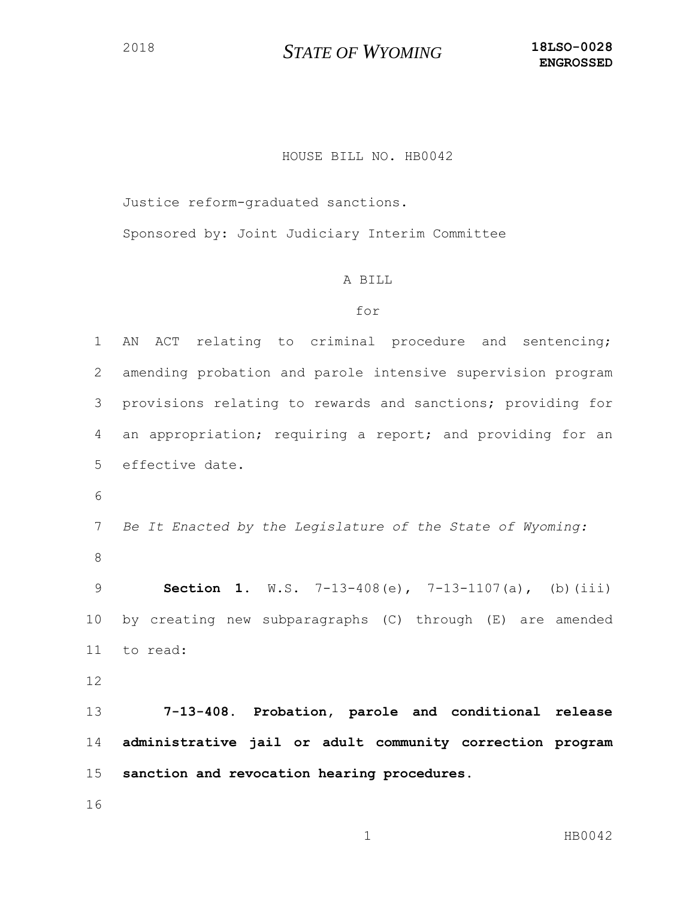## *STATE OF WYOMING* **18LSO-0028**

## HOUSE BILL NO. HB0042

Justice reform-graduated sanctions.

Sponsored by: Joint Judiciary Interim Committee

## A BILL

## for

 AN ACT relating to criminal procedure and sentencing; amending probation and parole intensive supervision program provisions relating to rewards and sanctions; providing for an appropriation; requiring a report; and providing for an effective date.

 *Be It Enacted by the Legislature of the State of Wyoming:* 

 **Section 1.** W.S. 7-13-408(e), 7-13-1107(a), (b)(iii) by creating new subparagraphs (C) through (E) are amended to read:

 **7-13-408. Probation, parole and conditional release administrative jail or adult community correction program sanction and revocation hearing procedures.**

1 HB0042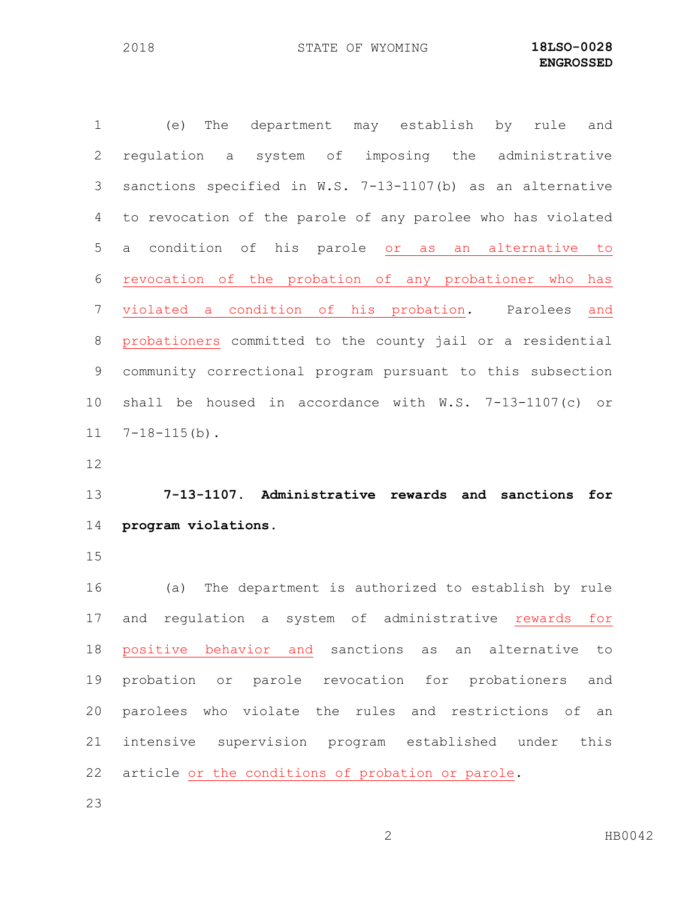(e) The department may establish by rule and regulation a system of imposing the administrative sanctions specified in W.S. 7-13-1107(b) as an alternative to revocation of the parole of any parolee who has violated a condition of his parole or as an alternative to revocation of the probation of any probationer who has violated a condition of his probation. Parolees and probationers committed to the county jail or a residential community correctional program pursuant to this subsection shall be housed in accordance with W.S. 7-13-1107(c) or 7-18-115(b). **7-13-1107. Administrative rewards and sanctions for program violations.** (a) The department is authorized to establish by rule and regulation a system of administrative rewards for positive behavior and sanctions as an alternative to probation or parole revocation for probationers and parolees who violate the rules and restrictions of an intensive supervision program established under this

- article or the conditions of probation or parole.
-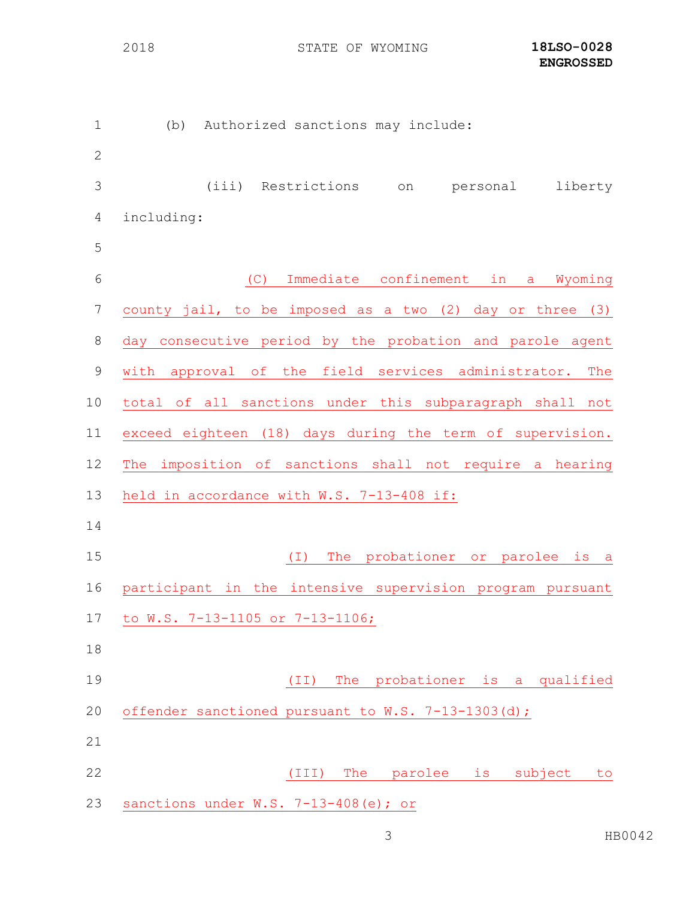STATE OF WYOMING **18LSO-0028**

| $\mathbf 1$    | Authorized sanctions may include:<br>(b)                     |
|----------------|--------------------------------------------------------------|
| $\mathbf{2}$   |                                                              |
| 3              | (iii) Restrictions<br>liberty<br>personal<br>on              |
| $\overline{4}$ | including:                                                   |
| 5              |                                                              |
| 6              | (C)<br>Immediate confinement in a<br>Wyoming                 |
| 7              | county jail, to be imposed as a two (2) day or three (3)     |
| $\,8\,$        | day consecutive period by the probation and parole agent     |
| $\mathsf 9$    | approval of the field services administrator.<br>with<br>The |
| 10             | total of all sanctions under this subparagraph shall not     |
| 11             | exceed eighteen (18) days during the term of supervision.    |
| 12             | The imposition of sanctions shall not require a hearing      |
| 13             | held in accordance with W.S. 7-13-408 if:                    |
| 14             |                                                              |
| 15             | The probationer or parolee is a<br>$(\top)$                  |
| 16             | participant in the intensive supervision program pursuant    |
| 17             | to W.S. 7-13-1105 or 7-13-1106;                              |
| 18             |                                                              |
| 19             | probationer is a qualified<br>(TI)<br>The                    |
| 20             | offender sanctioned pursuant to W.S. 7-13-1303(d);           |
| 21             |                                                              |
| 22             | The parolee<br>(III)<br>is subject<br>to                     |
| 23             | sanctions under W.S. 7-13-408(e); or                         |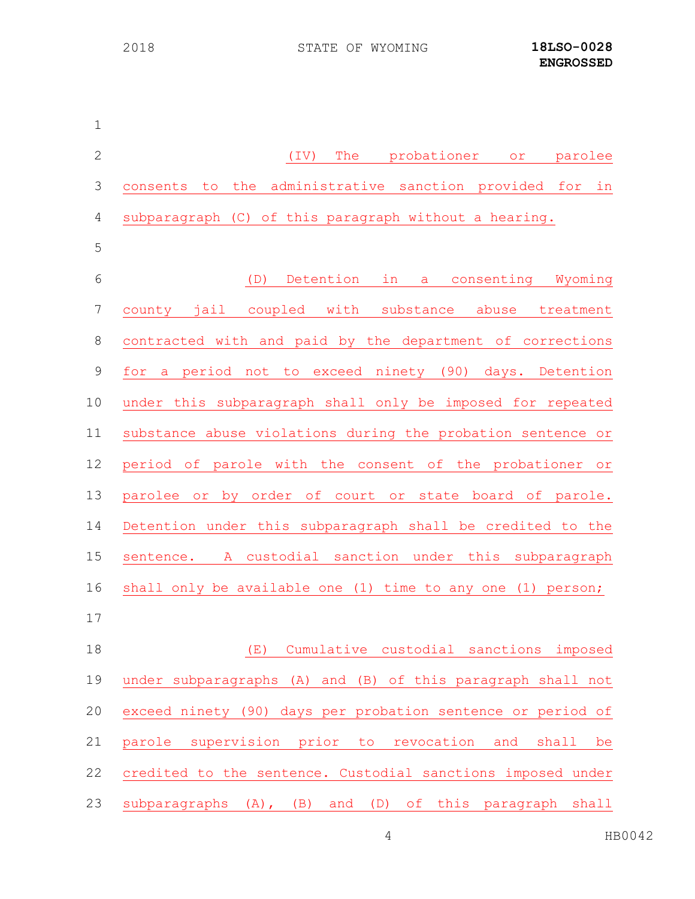| $\mathbf 1$  |                                                                |
|--------------|----------------------------------------------------------------|
| $\mathbf{2}$ | The<br>(TV)<br>probationer<br>parolee<br>O <sub>T</sub>        |
| 3            | consents to the<br>administrative sanction provided for in     |
| 4            | subparagraph (C) of this paragraph without a hearing.          |
| 5            |                                                                |
| 6            | Detention in a consenting Wyoming<br>(D)                       |
| 7            | county jail coupled<br>with<br>substance<br>abuse<br>treatment |
| $\,8\,$      | contracted with and paid by the department of corrections      |
| $\mathsf 9$  | a period not to exceed ninety (90) days. Detention<br>for      |
| 10           | under this subparagraph shall only be imposed for repeated     |
| 11           | substance abuse violations during the probation sentence or    |
| 12           | period of parole with the consent of the probationer or        |
| 13           | parolee or by order of court or state board of parole.         |
| 14           | Detention under this subparagraph shall be credited to the     |
| 15           | sentence. A custodial sanction under this subparagraph         |
| 16           | shall only be available one (1) time to any one (1) person;    |
| 17           |                                                                |
| 18           | Cumulative custodial sanctions<br>(E)<br>imposed               |
| 19           | under subparagraphs (A) and (B) of this paragraph shall not    |
| 20           | exceed ninety (90) days per probation sentence or period of    |
| 21           | parole supervision prior to revocation and shall be            |
| 22           | credited to the sentence. Custodial sanctions imposed under    |
| 23           | subparagraphs (A), (B) and (D) of this paragraph<br>shall      |

HB0042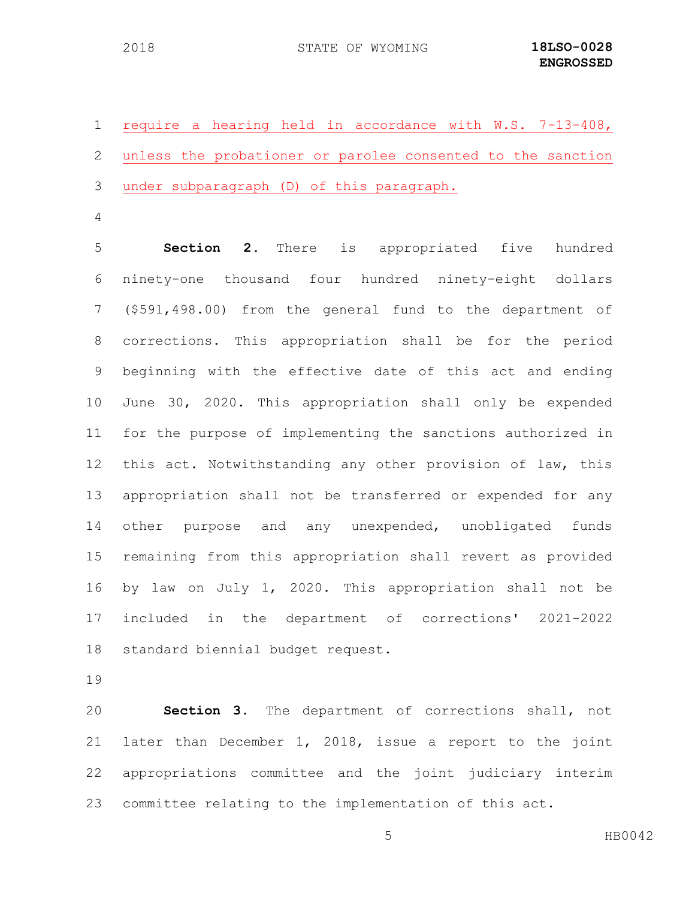| 1 require a hearing held in accordance with W.S. 7-13-408,    |
|---------------------------------------------------------------|
| 2 unless the probationer or parolee consented to the sanction |
| 3 under subparagraph (D) of this paragraph.                   |

 **Section 2.** There is appropriated five hundred ninety-one thousand four hundred ninety-eight dollars (\$591,498.00) from the general fund to the department of corrections. This appropriation shall be for the period beginning with the effective date of this act and ending June 30, 2020. This appropriation shall only be expended for the purpose of implementing the sanctions authorized in this act. Notwithstanding any other provision of law, this appropriation shall not be transferred or expended for any other purpose and any unexpended, unobligated funds remaining from this appropriation shall revert as provided by law on July 1, 2020. This appropriation shall not be included in the department of corrections' 2021-2022 standard biennial budget request.

 **Section 3.** The department of corrections shall, not later than December 1, 2018, issue a report to the joint appropriations committee and the joint judiciary interim committee relating to the implementation of this act.